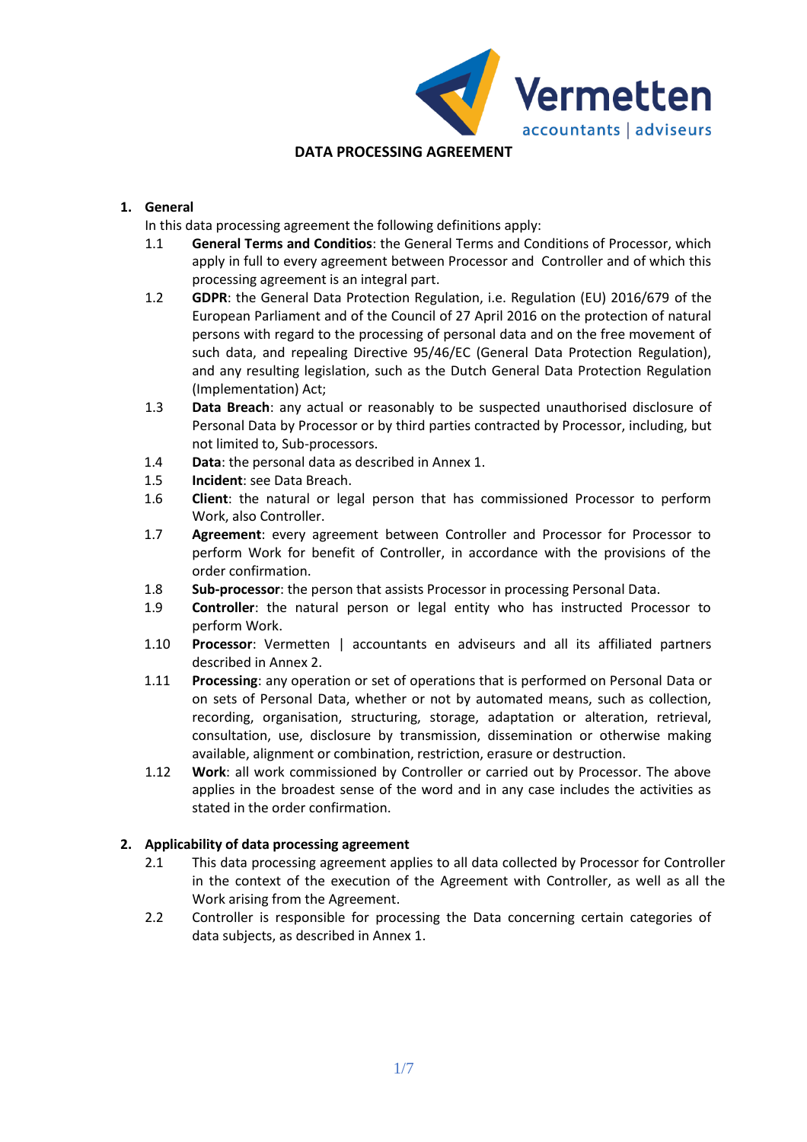

# **DATA PROCESSING AGREEMENT**

## **1. General**

In this data processing agreement the following definitions apply:

- 1.1 **General Terms and Conditios**: the General Terms and Conditions of Processor, which apply in full to every agreement between Processor and Controller and of which this processing agreement is an integral part.
- 1.2 **GDPR**: the General Data Protection Regulation, i.e. Regulation (EU) 2016/679 of the European Parliament and of the Council of 27 April 2016 on the protection of natural persons with regard to the processing of personal data and on the free movement of such data, and repealing Directive 95/46/EC (General Data Protection Regulation), and any resulting legislation, such as the Dutch General Data Protection Regulation (Implementation) Act;
- 1.3 **Data Breach**: any actual or reasonably to be suspected unauthorised disclosure of Personal Data by Processor or by third parties contracted by Processor, including, but not limited to, Sub-processors.
- 1.4 **Data**: the personal data as described in Annex 1.
- 1.5 **Incident**: see Data Breach.
- 1.6 **Client**: the natural or legal person that has commissioned Processor to perform Work, also Controller.
- 1.7 **Agreement**: every agreement between Controller and Processor for Processor to perform Work for benefit of Controller, in accordance with the provisions of the order confirmation.
- 1.8 **Sub-processor**: the person that assists Processor in processing Personal Data.
- 1.9 **Controller**: the natural person or legal entity who has instructed Processor to perform Work.
- 1.10 **Processor**: Vermetten | accountants en adviseurs and all its affiliated partners described in Annex 2.
- 1.11 **Processing**: any operation or set of operations that is performed on Personal Data or on sets of Personal Data, whether or not by automated means, such as collection, recording, organisation, structuring, storage, adaptation or alteration, retrieval, consultation, use, disclosure by transmission, dissemination or otherwise making available, alignment or combination, restriction, erasure or destruction.
- 1.12 **Work**: all work commissioned by Controller or carried out by Processor. The above applies in the broadest sense of the word and in any case includes the activities as stated in the order confirmation.

## **2. Applicability of data processing agreement**

- 2.1 This data processing agreement applies to all data collected by Processor for Controller in the context of the execution of the Agreement with Controller, as well as all the Work arising from the Agreement.
- 2.2 Controller is responsible for processing the Data concerning certain categories of data subjects, as described in Annex 1.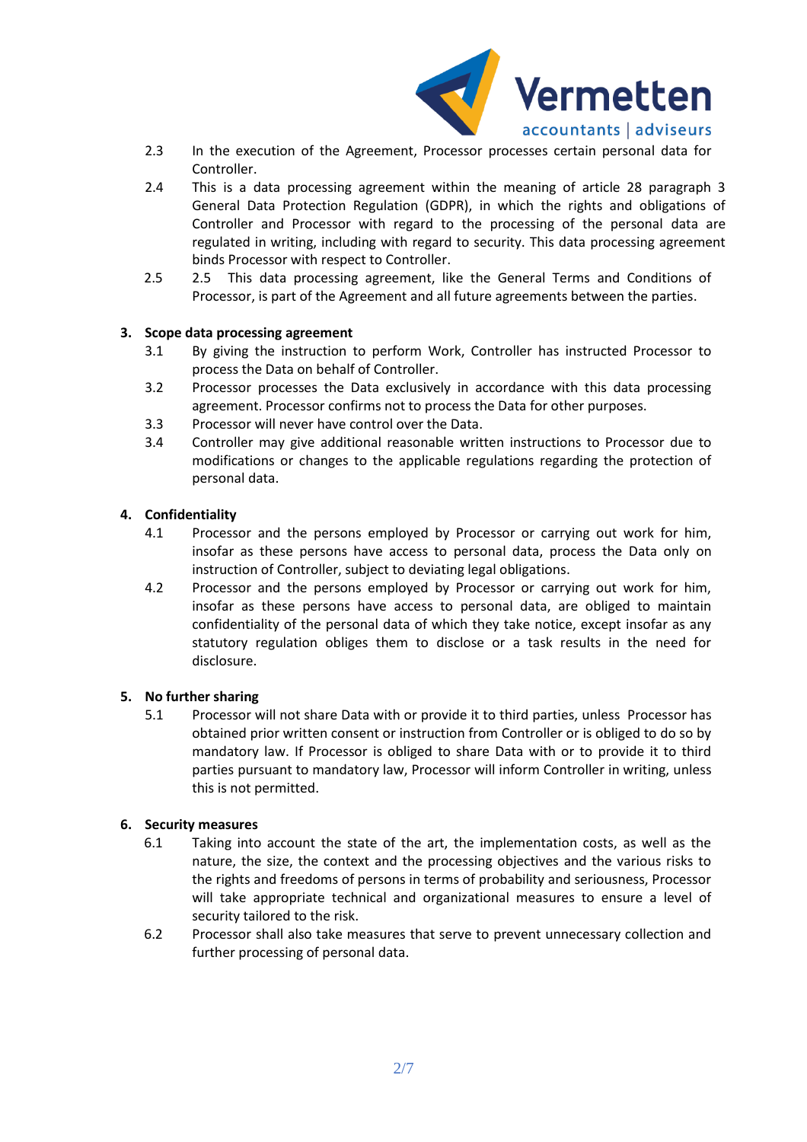

- 2.3 In the execution of the Agreement, Processor processes certain personal data for Controller.
- 2.4 This is a data processing agreement within the meaning of article 28 paragraph 3 General Data Protection Regulation (GDPR), in which the rights and obligations of Controller and Processor with regard to the processing of the personal data are regulated in writing, including with regard to security. This data processing agreement binds Processor with respect to Controller.
- 2.5 2.5 This data processing agreement, like the General Terms and Conditions of Processor, is part of the Agreement and all future agreements between the parties.

### **3. Scope data processing agreement**

- 3.1 By giving the instruction to perform Work, Controller has instructed Processor to process the Data on behalf of Controller.
- 3.2 Processor processes the Data exclusively in accordance with this data processing agreement. Processor confirms not to process the Data for other purposes.
- 3.3 Processor will never have control over the Data.
- 3.4 Controller may give additional reasonable written instructions to Processor due to modifications or changes to the applicable regulations regarding the protection of personal data.

### **4. Confidentiality**

- 4.1 Processor and the persons employed by Processor or carrying out work for him, insofar as these persons have access to personal data, process the Data only on instruction of Controller, subject to deviating legal obligations.
- 4.2 Processor and the persons employed by Processor or carrying out work for him, insofar as these persons have access to personal data, are obliged to maintain confidentiality of the personal data of which they take notice, except insofar as any statutory regulation obliges them to disclose or a task results in the need for disclosure.

#### **5. No further sharing**

5.1 Processor will not share Data with or provide it to third parties, unless Processor has obtained prior written consent or instruction from Controller or is obliged to do so by mandatory law. If Processor is obliged to share Data with or to provide it to third parties pursuant to mandatory law, Processor will inform Controller in writing, unless this is not permitted.

#### **6. Security measures**

- 6.1 Taking into account the state of the art, the implementation costs, as well as the nature, the size, the context and the processing objectives and the various risks to the rights and freedoms of persons in terms of probability and seriousness, Processor will take appropriate technical and organizational measures to ensure a level of security tailored to the risk.
- 6.2 Processor shall also take measures that serve to prevent unnecessary collection and further processing of personal data.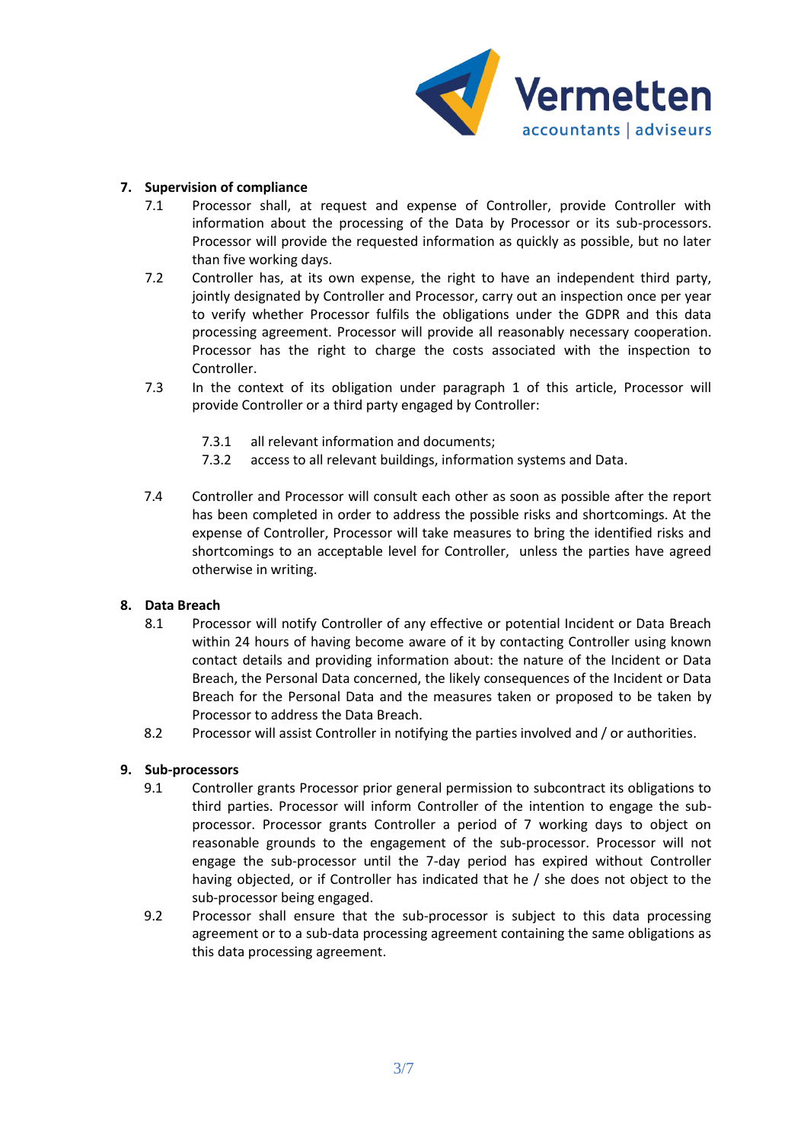

## **7. Supervision of compliance**

- 7.1 Processor shall, at request and expense of Controller, provide Controller with information about the processing of the Data by Processor or its sub-processors. Processor will provide the requested information as quickly as possible, but no later than five working days.
- 7.2 Controller has, at its own expense, the right to have an independent third party, jointly designated by Controller and Processor, carry out an inspection once per year to verify whether Processor fulfils the obligations under the GDPR and this data processing agreement. Processor will provide all reasonably necessary cooperation. Processor has the right to charge the costs associated with the inspection to Controller.
- 7.3 In the context of its obligation under paragraph 1 of this article, Processor will provide Controller or a third party engaged by Controller:
	- 7.3.1 all relevant information and documents;
	- 7.3.2 access to all relevant buildings, information systems and Data.
- 7.4 Controller and Processor will consult each other as soon as possible after the report has been completed in order to address the possible risks and shortcomings. At the expense of Controller, Processor will take measures to bring the identified risks and shortcomings to an acceptable level for Controller, unless the parties have agreed otherwise in writing.

#### **8. Data Breach**

- 8.1 Processor will notify Controller of any effective or potential Incident or Data Breach within 24 hours of having become aware of it by contacting Controller using known contact details and providing information about: the nature of the Incident or Data Breach, the Personal Data concerned, the likely consequences of the Incident or Data Breach for the Personal Data and the measures taken or proposed to be taken by Processor to address the Data Breach.
- 8.2 Processor will assist Controller in notifying the parties involved and / or authorities.

#### **9. Sub-processors**

- 9.1 Controller grants Processor prior general permission to subcontract its obligations to third parties. Processor will inform Controller of the intention to engage the subprocessor. Processor grants Controller a period of 7 working days to object on reasonable grounds to the engagement of the sub-processor. Processor will not engage the sub-processor until the 7-day period has expired without Controller having objected, or if Controller has indicated that he / she does not object to the sub-processor being engaged.
- 9.2 Processor shall ensure that the sub-processor is subject to this data processing agreement or to a sub-data processing agreement containing the same obligations as this data processing agreement.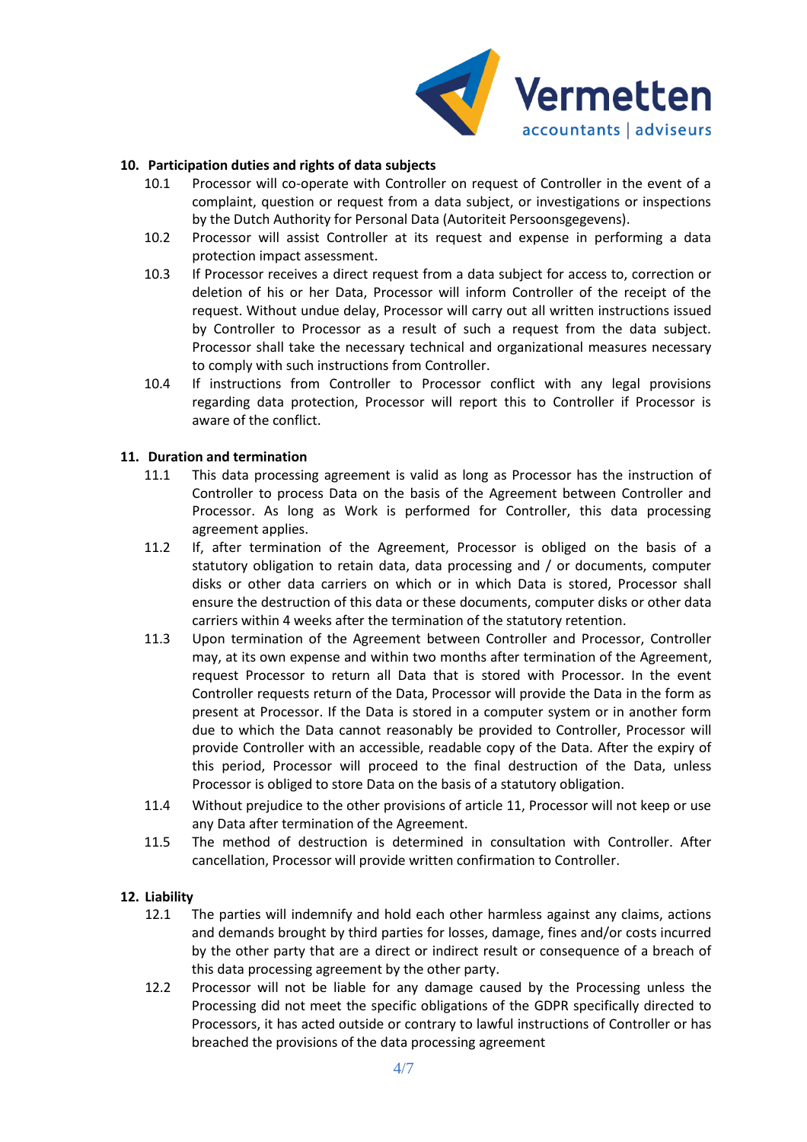

### **10. Participation duties and rights of data subjects**

- 10.1 Processor will co-operate with Controller on request of Controller in the event of a complaint, question or request from a data subject, or investigations or inspections by the Dutch Authority for Personal Data (Autoriteit Persoonsgegevens).
- 10.2 Processor will assist Controller at its request and expense in performing a data protection impact assessment.
- 10.3 If Processor receives a direct request from a data subject for access to, correction or deletion of his or her Data, Processor will inform Controller of the receipt of the request. Without undue delay, Processor will carry out all written instructions issued by Controller to Processor as a result of such a request from the data subject. Processor shall take the necessary technical and organizational measures necessary to comply with such instructions from Controller.
- 10.4 If instructions from Controller to Processor conflict with any legal provisions regarding data protection, Processor will report this to Controller if Processor is aware of the conflict.

#### **11. Duration and termination**

- 11.1 This data processing agreement is valid as long as Processor has the instruction of Controller to process Data on the basis of the Agreement between Controller and Processor. As long as Work is performed for Controller, this data processing agreement applies.
- 11.2 If, after termination of the Agreement, Processor is obliged on the basis of a statutory obligation to retain data, data processing and / or documents, computer disks or other data carriers on which or in which Data is stored, Processor shall ensure the destruction of this data or these documents, computer disks or other data carriers within 4 weeks after the termination of the statutory retention.
- 11.3 Upon termination of the Agreement between Controller and Processor, Controller may, at its own expense and within two months after termination of the Agreement, request Processor to return all Data that is stored with Processor. In the event Controller requests return of the Data, Processor will provide the Data in the form as present at Processor. If the Data is stored in a computer system or in another form due to which the Data cannot reasonably be provided to Controller, Processor will provide Controller with an accessible, readable copy of the Data. After the expiry of this period, Processor will proceed to the final destruction of the Data, unless Processor is obliged to store Data on the basis of a statutory obligation.
- 11.4 Without prejudice to the other provisions of article 11, Processor will not keep or use any Data after termination of the Agreement.
- 11.5 The method of destruction is determined in consultation with Controller. After cancellation, Processor will provide written confirmation to Controller.

#### **12. Liability**

- 12.1 The parties will indemnify and hold each other harmless against any claims, actions and demands brought by third parties for losses, damage, fines and/or costs incurred by the other party that are a direct or indirect result or consequence of a breach of this data processing agreement by the other party.
- 12.2 Processor will not be liable for any damage caused by the Processing unless the Processing did not meet the specific obligations of the GDPR specifically directed to Processors, it has acted outside or contrary to lawful instructions of Controller or has breached the provisions of the data processing agreement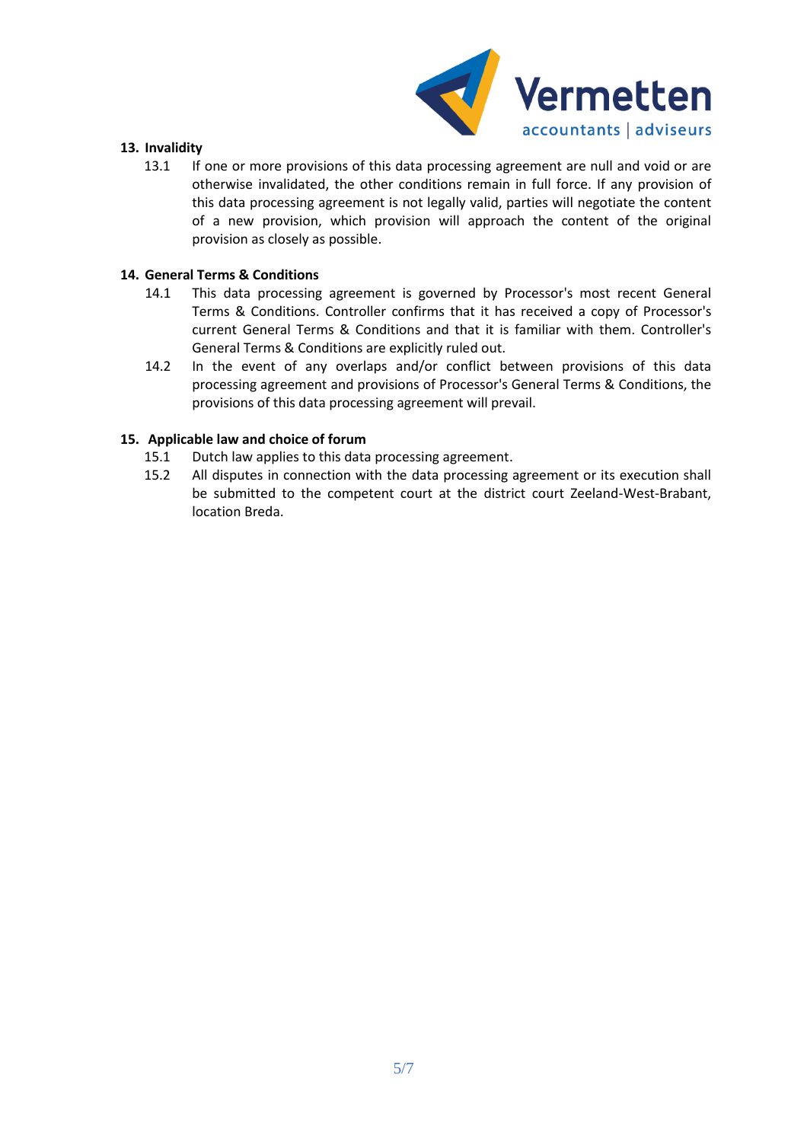

#### **13. Invalidity**

13.1 If one or more provisions of this data processing agreement are null and void or are otherwise invalidated, the other conditions remain in full force. If any provision of this data processing agreement is not legally valid, parties will negotiate the content of a new provision, which provision will approach the content of the original provision as closely as possible.

#### **14. General Terms & Conditions**

- 14.1 This data processing agreement is governed by Processor's most recent General Terms & Conditions. Controller confirms that it has received a copy of Processor's current General Terms & Conditions and that it is familiar with them. Controller's General Terms & Conditions are explicitly ruled out.
- 14.2 In the event of any overlaps and/or conflict between provisions of this data processing agreement and provisions of Processor's General Terms & Conditions, the provisions of this data processing agreement will prevail.

### **15. Applicable law and choice of forum**

- 15.1 Dutch law applies to this data processing agreement.
- 15.2 All disputes in connection with the data processing agreement or its execution shall be submitted to the competent court at the district court Zeeland-West-Brabant, location Breda.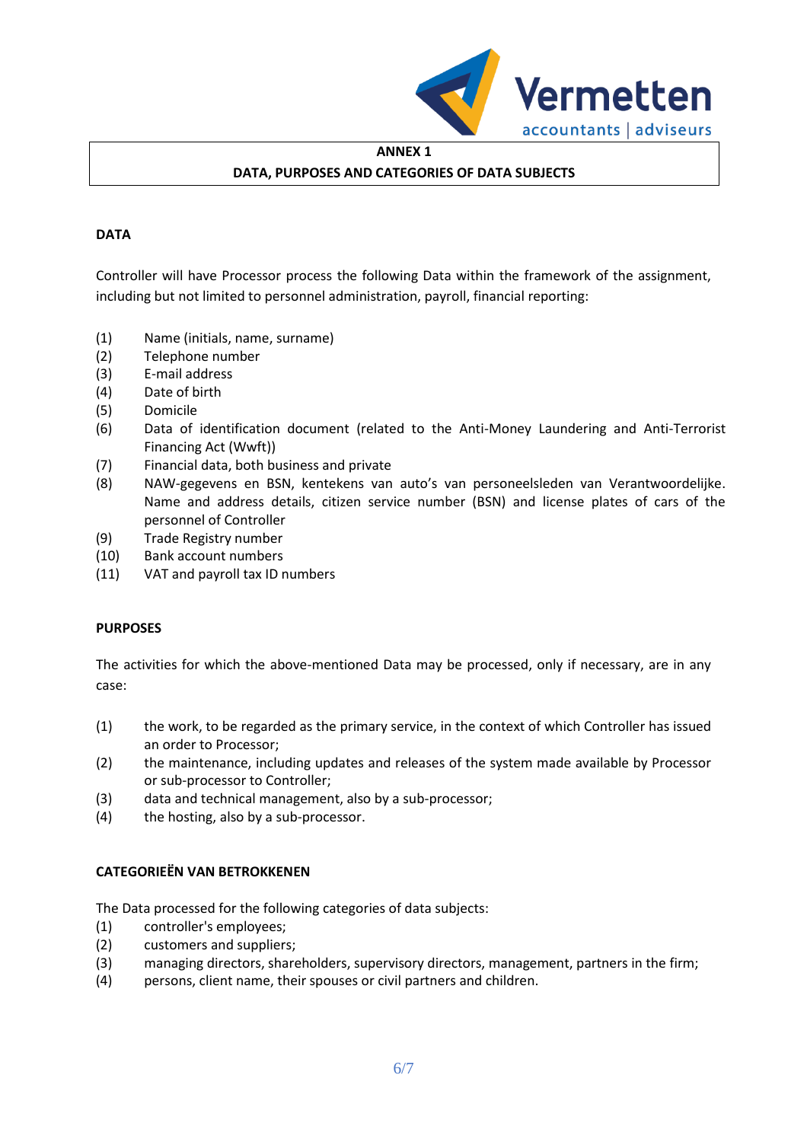

# **ANNEX 1 DATA, PURPOSES AND CATEGORIES OF DATA SUBJECTS**

## **DATA**

Controller will have Processor process the following Data within the framework of the assignment, including but not limited to personnel administration, payroll, financial reporting:

- (1) Name (initials, name, surname)
- (2) Telephone number
- (3) E-mail address
- (4) Date of birth
- (5) Domicile
- (6) Data of identification document (related to the Anti-Money Laundering and Anti-Terrorist Financing Act (Wwft))
- (7) Financial data, both business and private
- (8) NAW-gegevens en BSN, kentekens van auto's van personeelsleden van Verantwoordelijke. Name and address details, citizen service number (BSN) and license plates of cars of the personnel of Controller
- (9) Trade Registry number
- (10) Bank account numbers
- (11) VAT and payroll tax ID numbers

#### **PURPOSES**

The activities for which the above-mentioned Data may be processed, only if necessary, are in any case:

- (1) the work, to be regarded as the primary service, in the context of which Controller has issued an order to Processor;
- (2) the maintenance, including updates and releases of the system made available by Processor or sub-processor to Controller;
- (3) data and technical management, also by a sub-processor;
- (4) the hosting, also by a sub-processor.

#### **CATEGORIEËN VAN BETROKKENEN**

The Data processed for the following categories of data subjects:

- (1) controller's employees;
- (2) customers and suppliers;
- (3) managing directors, shareholders, supervisory directors, management, partners in the firm;
- (4) persons, client name, their spouses or civil partners and children.